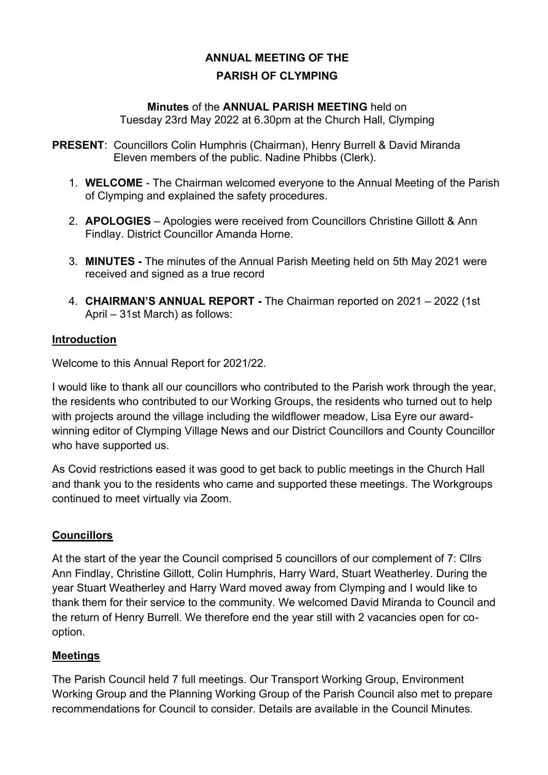# **ANNUAL MEETING OF THE**

### **PARISH OF CLYMPING**

#### **Minutes** of the **ANNUAL PARISH MEETING** held on

Tuesday 23rd May 2022 at 6.30pm at the Church Hall, Clymping

- **PRESENT**: Councillors Colin Humphris (Chairman), Henry Burrell & David Miranda Eleven members of the public. Nadine Phibbs (Clerk).
	- 1. **WELCOME** The Chairman welcomed everyone to the Annual Meeting of the Parish of Clymping and explained the safety procedures.
	- 2. **APOLOGIES** Apologies were received from Councillors Christine Gillott & Ann Findlay. District Councillor Amanda Horne.
	- 3. **MINUTES -** The minutes of the Annual Parish Meeting held on 5th May 2021 were received and signed as a true record
	- 4. **CHAIRMAN'S ANNUAL REPORT -** The Chairman reported on 2021 2022 (1st April – 31st March) as follows:

### **Introduction**

Welcome to this Annual Report for 2021/22.

I would like to thank all our councillors who contributed to the Parish work through the year, the residents who contributed to our Working Groups, the residents who turned out to help with projects around the village including the wildflower meadow, Lisa Eyre our awardwinning editor of Clymping Village News and our District Councillors and County Councillor who have supported us.

As Covid restrictions eased it was good to get back to public meetings in the Church Hall and thank you to the residents who came and supported these meetings. The Workgroups continued to meet virtually via Zoom.

### **Councillors**

At the start of the year the Council comprised 5 councillors of our complement of 7: Cllrs Ann Findlay, Christine Gillott, Colin Humphris, Harry Ward, Stuart Weatherley. During the year Stuart Weatherley and Harry Ward moved away from Clymping and I would like to thank them for their service to the community. We welcomed David Miranda to Council and the return of Henry Burrell. We therefore end the year still with 2 vacancies open for cooption.

### **Meetings**

The Parish Council held 7 full meetings. Our Transport Working Group, Environment Working Group and the Planning Working Group of the Parish Council also met to prepare recommendations for Council to consider. Details are available in the Council Minutes.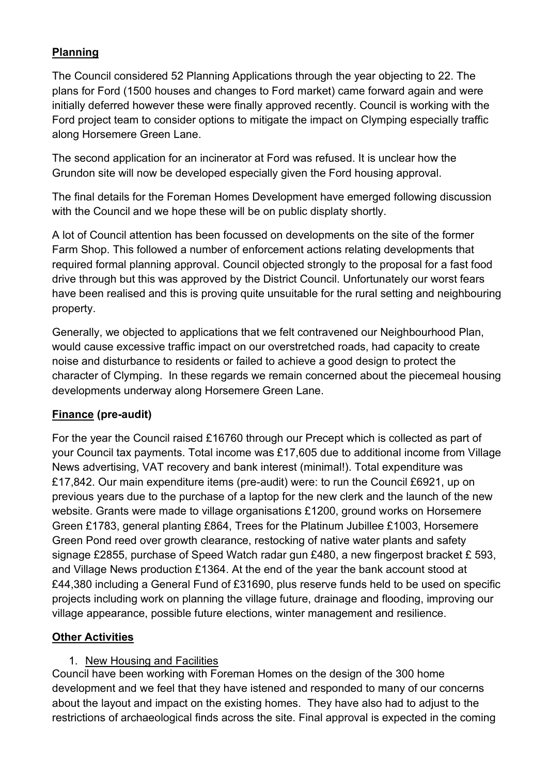# **Planning**

The Council considered 52 Planning Applications through the year objecting to 22. The plans for Ford (1500 houses and changes to Ford market) came forward again and were initially deferred however these were finally approved recently. Council is working with the Ford project team to consider options to mitigate the impact on Clymping especially traffic along Horsemere Green Lane.

The second application for an incinerator at Ford was refused. It is unclear how the Grundon site will now be developed especially given the Ford housing approval.

The final details for the Foreman Homes Development have emerged following discussion with the Council and we hope these will be on public displaty shortly.

A lot of Council attention has been focussed on developments on the site of the former Farm Shop. This followed a number of enforcement actions relating developments that required formal planning approval. Council objected strongly to the proposal for a fast food drive through but this was approved by the District Council. Unfortunately our worst fears have been realised and this is proving quite unsuitable for the rural setting and neighbouring property.

Generally, we objected to applications that we felt contravened our Neighbourhood Plan, would cause excessive traffic impact on our overstretched roads, had capacity to create noise and disturbance to residents or failed to achieve a good design to protect the character of Clymping. In these regards we remain concerned about the piecemeal housing developments underway along Horsemere Green Lane.

### **Finance (pre-audit)**

For the year the Council raised £16760 through our Precept which is collected as part of your Council tax payments. Total income was £17,605 due to additional income from Village News advertising, VAT recovery and bank interest (minimal!). Total expenditure was £17,842. Our main expenditure items (pre-audit) were: to run the Council £6921, up on previous years due to the purchase of a laptop for the new clerk and the launch of the new website. Grants were made to village organisations £1200, ground works on Horsemere Green £1783, general planting £864, Trees for the Platinum Jubillee £1003, Horsemere Green Pond reed over growth clearance, restocking of native water plants and safety signage £2855, purchase of Speed Watch radar gun £480, a new fingerpost bracket £ 593, and Village News production £1364. At the end of the year the bank account stood at £44,380 including a General Fund of £31690, plus reserve funds held to be used on specific projects including work on planning the village future, drainage and flooding, improving our village appearance, possible future elections, winter management and resilience.

### **Other Activities**

### 1. New Housing and Facilities

Council have been working with Foreman Homes on the design of the 300 home development and we feel that they have istened and responded to many of our concerns about the layout and impact on the existing homes. They have also had to adjust to the restrictions of archaeological finds across the site. Final approval is expected in the coming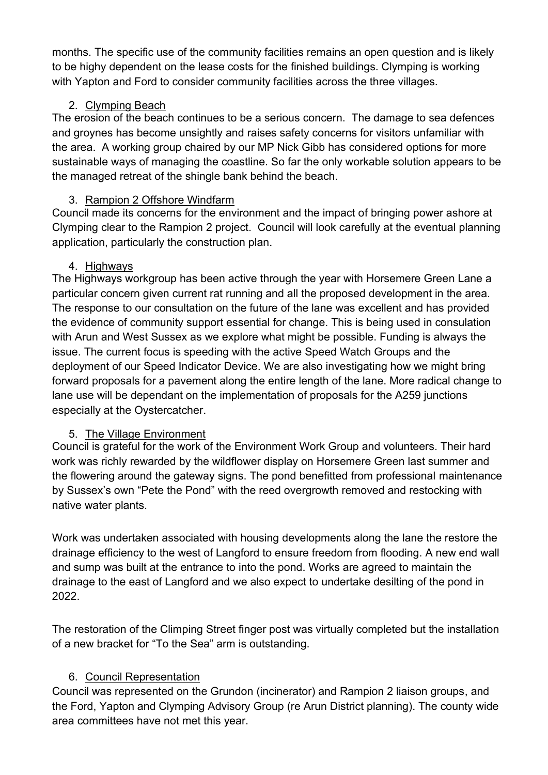months. The specific use of the community facilities remains an open question and is likely to be highy dependent on the lease costs for the finished buildings. Clymping is working with Yapton and Ford to consider community facilities across the three villages.

# 2. Clymping Beach

The erosion of the beach continues to be a serious concern. The damage to sea defences and groynes has become unsightly and raises safety concerns for visitors unfamiliar with the area. A working group chaired by our MP Nick Gibb has considered options for more sustainable ways of managing the coastline. So far the only workable solution appears to be the managed retreat of the shingle bank behind the beach.

# 3. Rampion 2 Offshore Windfarm

Council made its concerns for the environment and the impact of bringing power ashore at Clymping clear to the Rampion 2 project. Council will look carefully at the eventual planning application, particularly the construction plan.

# 4. Highways

The Highways workgroup has been active through the year with Horsemere Green Lane a particular concern given current rat running and all the proposed development in the area. The response to our consultation on the future of the lane was excellent and has provided the evidence of community support essential for change. This is being used in consulation with Arun and West Sussex as we explore what might be possible. Funding is always the issue. The current focus is speeding with the active Speed Watch Groups and the deployment of our Speed Indicator Device. We are also investigating how we might bring forward proposals for a pavement along the entire length of the lane. More radical change to lane use will be dependant on the implementation of proposals for the A259 junctions especially at the Oystercatcher.

# 5. The Village Environment

Council is grateful for the work of the Environment Work Group and volunteers. Their hard work was richly rewarded by the wildflower display on Horsemere Green last summer and the flowering around the gateway signs. The pond benefitted from professional maintenance by Sussex's own "Pete the Pond" with the reed overgrowth removed and restocking with native water plants.

Work was undertaken associated with housing developments along the lane the restore the drainage efficiency to the west of Langford to ensure freedom from flooding. A new end wall and sump was built at the entrance to into the pond. Works are agreed to maintain the drainage to the east of Langford and we also expect to undertake desilting of the pond in 2022.

The restoration of the Climping Street finger post was virtually completed but the installation of a new bracket for "To the Sea" arm is outstanding.

# 6. Council Representation

Council was represented on the Grundon (incinerator) and Rampion 2 liaison groups, and the Ford, Yapton and Clymping Advisory Group (re Arun District planning). The county wide area committees have not met this year.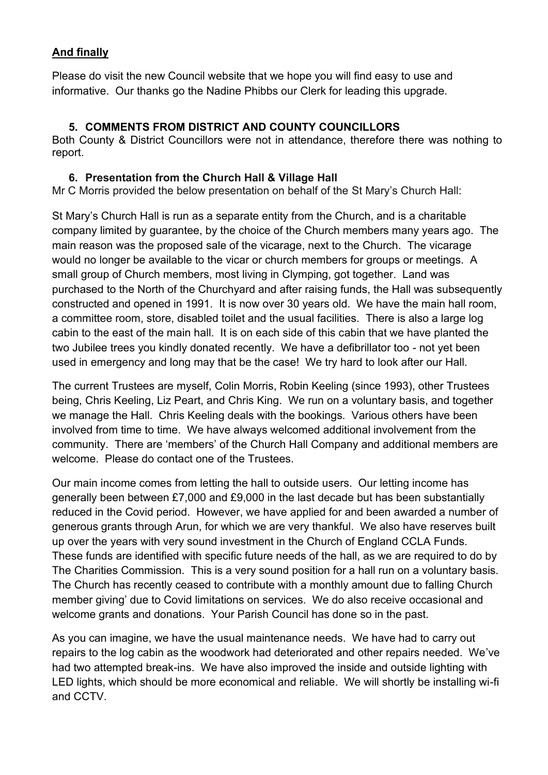### **And finally**

Please do visit the new Council website that we hope you will find easy to use and informative. Our thanks go the Nadine Phibbs our Clerk for leading this upgrade.

#### **5. COMMENTS FROM DISTRICT AND COUNTY COUNCILLORS**

Both County & District Councillors were not in attendance, therefore there was nothing to report.

#### **6. Presentation from the Church Hall & Village Hall**

Mr C Morris provided the below presentation on behalf of the St Mary's Church Hall:

St Mary's Church Hall is run as a separate entity from the Church, and is a charitable company limited by guarantee, by the choice of the Church members many years ago. The main reason was the proposed sale of the vicarage, next to the Church. The vicarage would no longer be available to the vicar or church members for groups or meetings. A small group of Church members, most living in Clymping, got together. Land was purchased to the North of the Churchyard and after raising funds, the Hall was subsequently constructed and opened in 1991. It is now over 30 years old. We have the main hall room, a committee room, store, disabled toilet and the usual facilities. There is also a large log cabin to the east of the main hall. It is on each side of this cabin that we have planted the two Jubilee trees you kindly donated recently. We have a defibrillator too - not yet been used in emergency and long may that be the case! We try hard to look after our Hall.

The current Trustees are myself, Colin Morris, Robin Keeling (since 1993), other Trustees being, Chris Keeling, Liz Peart, and Chris King. We run on a voluntary basis, and together we manage the Hall. Chris Keeling deals with the bookings. Various others have been involved from time to time. We have always welcomed additional involvement from the community. There are 'members' of the Church Hall Company and additional members are welcome. Please do contact one of the Trustees.

Our main income comes from letting the hall to outside users. Our letting income has generally been between £7,000 and £9,000 in the last decade but has been substantially reduced in the Covid period. However, we have applied for and been awarded a number of generous grants through Arun, for which we are very thankful. We also have reserves built up over the years with very sound investment in the Church of England CCLA Funds. These funds are identified with specific future needs of the hall, as we are required to do by The Charities Commission. This is a very sound position for a hall run on a voluntary basis. The Church has recently ceased to contribute with a monthly amount due to falling Church member giving' due to Covid limitations on services. We do also receive occasional and welcome grants and donations. Your Parish Council has done so in the past.

As you can imagine, we have the usual maintenance needs. We have had to carry out repairs to the log cabin as the woodwork had deteriorated and other repairs needed. We've had two attempted break-ins. We have also improved the inside and outside lighting with LED lights, which should be more economical and reliable. We will shortly be installing wi-fi and CCTV.